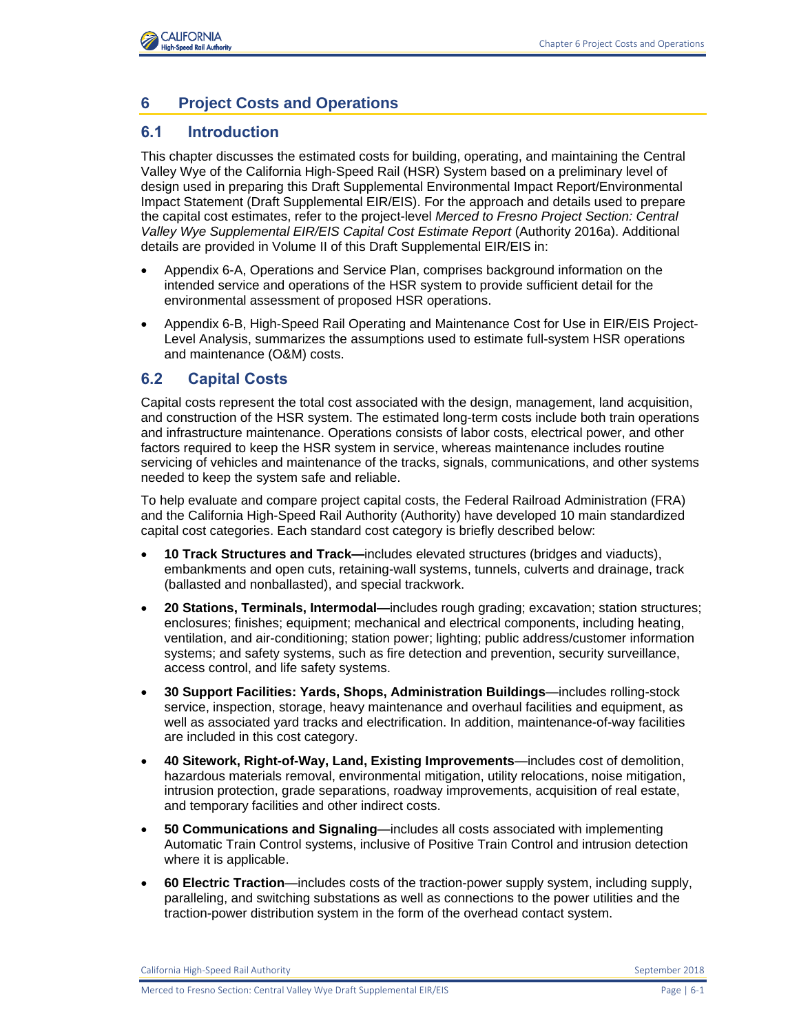

# **6 Project Costs and Operations**

### **6.1 Introduction**

This chapter discusses the estimated costs for building, operating, and maintaining the Central Valley Wye of the California High-Speed Rail (HSR) System based on a preliminary level of design used in preparing this Draft Supplemental Environmental Impact Report/Environmental Impact Statement (Draft Supplemental EIR/EIS). For the approach and details used to prepare the capital cost estimates, refer to the project-level *Merced to Fresno Project Section: Central*  Valley Wye Supplemental EIR/EIS Capital Cost Estimate Report (Authority 2016a). Additional details are provided in Volume II of this Draft Supplemental EIR/EIS in:

- Appendix 6-A, Operations and Service Plan, comprises background information on the intended service and operations of the HSR system to provide sufficient detail for the environmental assessment of proposed HSR operations.
- Appendix 6-B, High-Speed Rail Operating and Maintenance Cost for Use in EIR/EIS Project-Level Analysis, summarizes the assumptions used to estimate full-system HSR operations and maintenance (O&M) costs.

#### **6.2 Capital Costs**

Capital costs represent the total cost associated with the design, management, land acquisition, and construction of the HSR system. The estimated long-term costs include both train operations and infrastructure maintenance. Operations consists of labor costs, electrical power, and other factors required to keep the HSR system in service, whereas maintenance includes routine servicing of vehicles and maintenance of the tracks, signals, communications, and other systems needed to keep the system safe and reliable.

To help evaluate and compare project capital costs, the Federal Railroad Administration (FRA) and the California High-Speed Rail Authority (Authority) have developed 10 main standardized capital cost categories. Each standard cost category is briefly described below:

- **10 Track Structures and Track—**includes elevated structures (bridges and viaducts), embankments and open cuts, retaining-wall systems, tunnels, culverts and drainage, track (ballasted and nonballasted), and special trackwork.
- **20 Stations, Terminals, Intermodal—**includes rough grading; excavation; station structures; enclosures; finishes; equipment; mechanical and electrical components, including heating, ventilation, and air-conditioning; station power; lighting; public address/customer information systems; and safety systems, such as fire detection and prevention, security surveillance, access control, and life safety systems.
- **30 Support Facilities: Yards, Shops, Administration Buildings**—includes rolling-stock service, inspection, storage, heavy maintenance and overhaul facilities and equipment, as well as associated yard tracks and electrification. In addition, maintenance-of-way facilities are included in this cost category.
- **40 Sitework, Right-of-Way, Land, Existing Improvements**—includes cost of demolition, hazardous materials removal, environmental mitigation, utility relocations, noise mitigation, intrusion protection, grade separations, roadway improvements, acquisition of real estate, and temporary facilities and other indirect costs.
- **50 Communications and Signaling**—includes all costs associated with implementing Automatic Train Control systems, inclusive of Positive Train Control and intrusion detection where it is applicable.
- **60 Electric Traction**—includes costs of the traction-power supply system, including supply, paralleling, and switching substations as well as connections to the power utilities and the traction-power distribution system in the form of the overhead contact system.

California High-Speed Rail Authority September 2018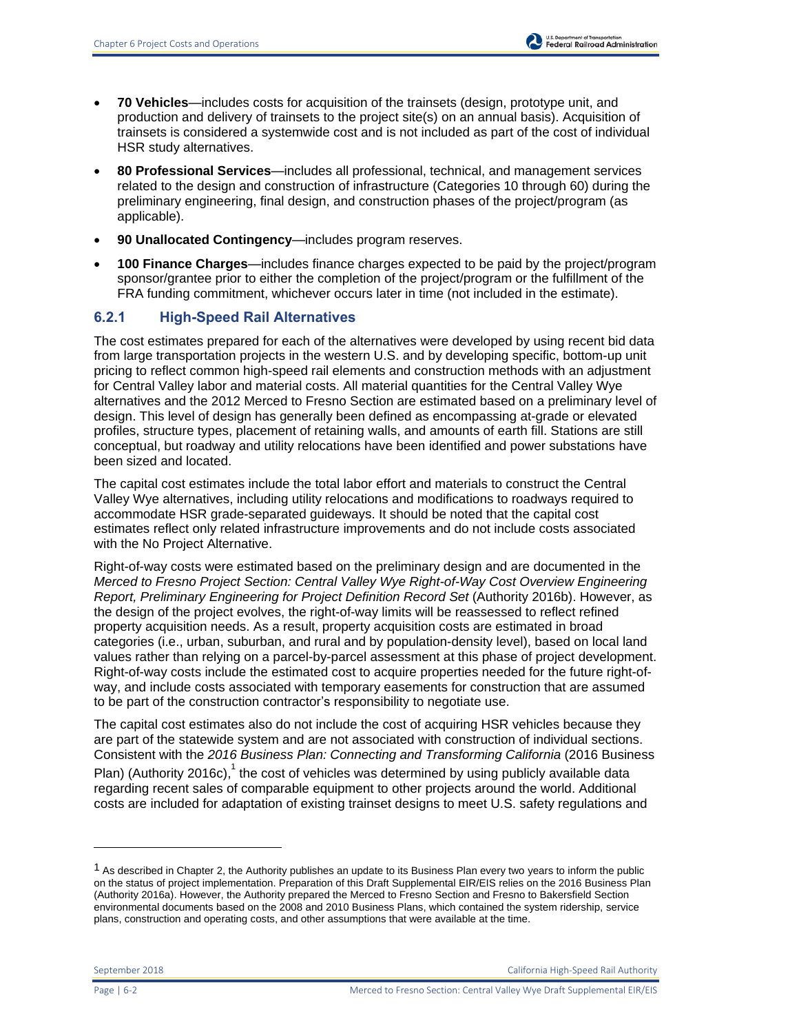- **70 Vehicles**—includes costs for acquisition of the trainsets (design, prototype unit, and production and delivery of trainsets to the project site(s) on an annual basis). Acquisition of trainsets is considered a systemwide cost and is not included as part of the cost of individual HSR study alternatives.
- **80 Professional Services**—includes all professional, technical, and management services related to the design and construction of infrastructure (Categories 10 through 60) during the preliminary engineering, final design, and construction phases of the project/program (as applicable).
- **90 Unallocated Contingency**—includes program reserves.
- **100 Finance Charges**—includes finance charges expected to be paid by the project/program sponsor/grantee prior to either the completion of the project/program or the fulfillment of the FRA funding commitment, whichever occurs later in time (not included in the estimate).

# **6.2.1 High-Speed Rail Alternatives**

The cost estimates prepared for each of the alternatives were developed by using recent bid data from large transportation projects in the western U.S. and by developing specific, bottom-up unit pricing to reflect common high-speed rail elements and construction methods with an adjustment for Central Valley labor and material costs. All material quantities for the Central Valley Wye alternatives and the 2012 Merced to Fresno Section are estimated based on a preliminary level of design. This level of design has generally been defined as encompassing at-grade or elevated profiles, structure types, placement of retaining walls, and amounts of earth fill. Stations are still conceptual, but roadway and utility relocations have been identified and power substations have been sized and located.

The capital cost estimates include the total labor effort and materials to construct the Central Valley Wye alternatives, including utility relocations and modifications to roadways required to accommodate HSR grade-separated guideways. It should be noted that the capital cost estimates reflect only related infrastructure improvements and do not include costs associated with the No Project Alternative.

Right-of-way costs were estimated based on the preliminary design and are documented in the *Merced to Fresno Project Section: Central Valley Wye Right-of-Way Cost Overview Engineering Report, Preliminary Engineering for Project Definition Record Set* (Authority 2016b). However, as the design of the project evolves, the right-of-way limits will be reassessed to reflect refined property acquisition needs. As a result, property acquisition costs are estimated in broad categories (i.e., urban, suburban, and rural and by population-density level), based on local land values rather than relying on a parcel-by-parcel assessment at this phase of project development. Right-of-way costs include the estimated cost to acquire properties needed for the future right-ofway, and include costs associated with temporary easements for construction that are assumed to be part of the construction contractor's responsibility to negotiate use.

The capital cost estimates also do not include the cost of acquiring HSR vehicles because they are part of the statewide system and are not associated with construction of individual sections. Consistent with the *2016 Business Plan: Connecting and Transforming California* (2016 Business

Plan) (Authority 2016c),  $1$  the cost of vehicles was determined by using publicly available data regarding recent sales of comparable equipment to other projects around the world. Additional costs are included for adaptation of existing trainset designs to meet U.S. safety regulations and

 $1$  As described in Chapter 2, the Authority publishes an update to its Business Plan every two years to inform the public on the status of project implementation. Preparation of this Draft Supplemental EIR/EIS relies on the 2016 Business Plan (Authority 2016a). However, the Authority prepared the Merced to Fresno Section and Fresno to Bakersfield Section environmental documents based on the 2008 and 2010 Business Plans, which contained the system ridership, service plans, construction and operating costs, and other assumptions that were available at the time.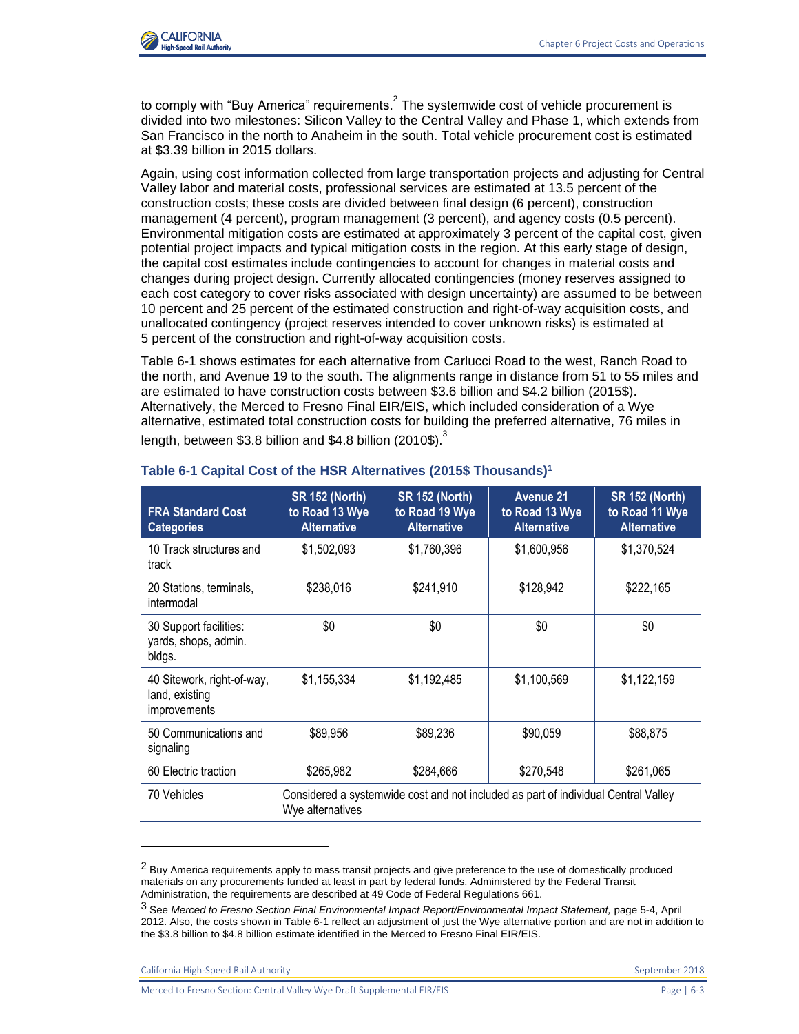

to comply with "Buy America" requirements.<sup>2</sup> The systemwide cost of vehicle procurement is divided into two milestones: Silicon Valley to the Central Valley and Phase 1, which extends from San Francisco in the north to Anaheim in the south. Total vehicle procurement cost is estimated at \$3.39 billion in 2015 dollars.

Again, using cost information collected from large transportation projects and adjusting for Central Valley labor and material costs, professional services are estimated at 13.5 percent of the construction costs; these costs are divided between final design (6 percent), construction management (4 percent), program management (3 percent), and agency costs (0.5 percent). Environmental mitigation costs are estimated at approximately 3 percent of the capital cost, given potential project impacts and typical mitigation costs in the region. At this early stage of design, the capital cost estimates include contingencies to account for changes in material costs and changes during project design. Currently allocated contingencies (money reserves assigned to each cost category to cover risks associated with design uncertainty) are assumed to be between 10 percent and 25 percent of the estimated construction and right-of-way acquisition costs, and unallocated contingency (project reserves intended to cover unknown risks) is estimated at 5 percent of the construction and right-of-way acquisition costs.

[Table 6-1](#page-2-0) shows estimates for each alternative from Carlucci Road to the west, Ranch Road to the north, and Avenue 19 to the south. The alignments range in distance from 51 to 55 miles and are estimated to have construction costs between \$3.6 billion and \$4.2 billion (2015\$). Alternatively, the Merced to Fresno Final EIR/EIS, which included consideration of a Wye alternative, estimated total construction costs for building the preferred alternative, 76 miles in length, between \$3.8 billion and \$4.8 billion (2010\$).<sup>3</sup>

| <b>FRA Standard Cost</b><br><b>Categories</b>                | <b>SR 152 (North)</b><br>to Road 13 Wye<br><b>Alternative</b>                                          | <b>SR 152 (North)</b><br>to Road 19 Wye<br><b>Alternative</b> | <b>Avenue 21</b><br>to Road 13 Wye<br><b>Alternative</b> | <b>SR 152 (North)</b><br>to Road 11 Wye<br><b>Alternative</b> |  |
|--------------------------------------------------------------|--------------------------------------------------------------------------------------------------------|---------------------------------------------------------------|----------------------------------------------------------|---------------------------------------------------------------|--|
| 10 Track structures and<br>track                             | \$1,502,093<br>\$1,760,396                                                                             |                                                               | \$1,600,956                                              | \$1,370,524                                                   |  |
| 20 Stations, terminals,<br>intermodal                        | \$238,016                                                                                              | \$241,910                                                     | \$128,942                                                | \$222,165                                                     |  |
| 30 Support facilities:<br>yards, shops, admin.<br>bldgs.     | \$0                                                                                                    | \$0                                                           | \$0                                                      | \$0                                                           |  |
| 40 Sitework, right-of-way,<br>land, existing<br>improvements | \$1,155,334                                                                                            | \$1,192,485                                                   | \$1,100,569                                              | \$1,122,159                                                   |  |
| 50 Communications and<br>signaling                           | \$89,956                                                                                               | \$89,236                                                      | \$90,059                                                 | \$88,875                                                      |  |
| 60 Electric traction                                         | \$265,982                                                                                              | \$284,666                                                     | \$270,548                                                | \$261,065                                                     |  |
| 70 Vehicles                                                  | Considered a systemwide cost and not included as part of individual Central Valley<br>Wye alternatives |                                                               |                                                          |                                                               |  |

#### <span id="page-2-0"></span>**Table 6-1 Capital Cost of the HSR Alternatives (2015\$ Thousands)<sup>1</sup>**

California High-Speed Rail Authority September 2018

<sup>&</sup>lt;sup>2</sup> Buv America requirements apply to mass transit projects and give preference to the use of domestically produced materials on any procurements funded at least in part by federal funds. Administered by the Federal Transit Administration, the requirements are described at 49 Code of Federal Regulations 661.

<sup>3</sup> See *Merced to Fresno Section Final Environmental Impact Report/Environmental Impact Statement,* page 5-4, April 2012. Also, the costs shown in Table 6-1 reflect an adjustment of just the Wye alternative portion and are not in addition to the \$3.8 billion to \$4.8 billion estimate identified in the Merced to Fresno Final EIR/EIS.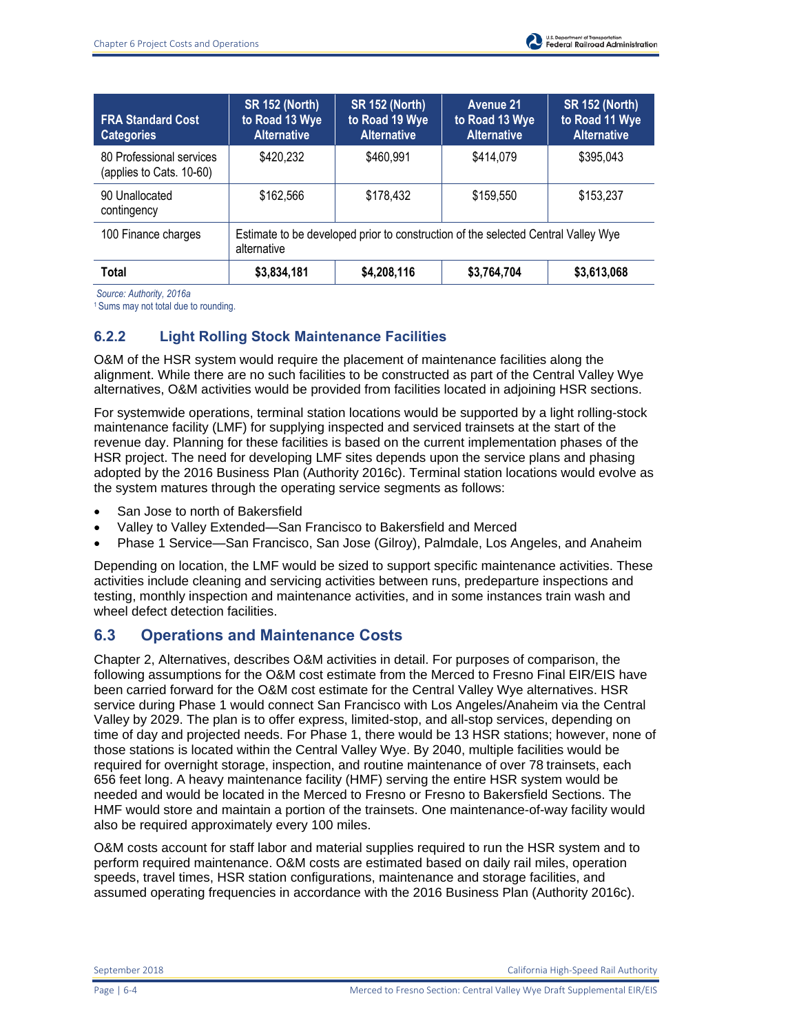

| <b>FRA Standard Cost</b><br><b>Categories</b>        | <b>SR 152 (North)</b><br>to Road 13 Wye<br><b>Alternative</b>                                    | <b>SR 152 (North)</b><br>to Road 19 Wye<br><b>Alternative</b> | <b>Avenue 21</b><br>to Road 13 Wye<br><b>Alternative</b> | <b>SR 152 (North)</b><br>to Road 11 Wye<br><b>Alternative</b> |  |  |
|------------------------------------------------------|--------------------------------------------------------------------------------------------------|---------------------------------------------------------------|----------------------------------------------------------|---------------------------------------------------------------|--|--|
| 80 Professional services<br>(applies to Cats. 10-60) | \$420,232                                                                                        | \$460,991                                                     | \$414,079                                                | \$395,043                                                     |  |  |
| 90 Unallocated<br>contingency                        | \$162,566                                                                                        | \$178,432                                                     | \$159,550                                                | \$153,237                                                     |  |  |
| 100 Finance charges                                  | Estimate to be developed prior to construction of the selected Central Valley Wye<br>alternative |                                                               |                                                          |                                                               |  |  |
| Total                                                | \$3,834,181                                                                                      | \$4,208,116                                                   | \$3,764,704                                              | \$3,613,068                                                   |  |  |

 *Source: Authority, 2016a* 

<sup>1</sup>Sums may not total due to rounding.

# **6.2.2 Light Rolling Stock Maintenance Facilities**

O&M of the HSR system would require the placement of maintenance facilities along the alignment. While there are no such facilities to be constructed as part of the Central Valley Wye alternatives, O&M activities would be provided from facilities located in adjoining HSR sections.

For systemwide operations, terminal station locations would be supported by a light rolling-stock maintenance facility (LMF) for supplying inspected and serviced trainsets at the start of the revenue day. Planning for these facilities is based on the current implementation phases of the HSR project. The need for developing LMF sites depends upon the service plans and phasing adopted by the 2016 Business Plan (Authority 2016c). Terminal station locations would evolve as the system matures through the operating service segments as follows:

- San Jose to north of Bakersfield
- Valley to Valley Extended—San Francisco to Bakersfield and Merced
- Phase 1 Service—San Francisco, San Jose (Gilroy), Palmdale, Los Angeles, and Anaheim

Depending on location, the LMF would be sized to support specific maintenance activities. These activities include cleaning and servicing activities between runs, predeparture inspections and testing, monthly inspection and maintenance activities, and in some instances train wash and wheel defect detection facilities.

## **6.3 Operations and Maintenance Costs**

Chapter 2, Alternatives, describes O&M activities in detail. For purposes of comparison, the following assumptions for the O&M cost estimate from the Merced to Fresno Final EIR/EIS have been carried forward for the O&M cost estimate for the Central Valley Wye alternatives. HSR service during Phase 1 would connect San Francisco with Los Angeles/Anaheim via the Central Valley by 2029. The plan is to offer express, limited-stop, and all-stop services, depending on time of day and projected needs. For Phase 1, there would be 13 HSR stations; however, none of those stations is located within the Central Valley Wye. By 2040, multiple facilities would be required for overnight storage, inspection, and routine maintenance of over 78 trainsets, each 656 feet long. A heavy maintenance facility (HMF) serving the entire HSR system would be needed and would be located in the Merced to Fresno or Fresno to Bakersfield Sections. The HMF would store and maintain a portion of the trainsets. One maintenance-of-way facility would also be required approximately every 100 miles.

O&M costs account for staff labor and material supplies required to run the HSR system and to perform required maintenance. O&M costs are estimated based on daily rail miles, operation speeds, travel times, HSR station configurations, maintenance and storage facilities, and assumed operating frequencies in accordance with the 2016 Business Plan (Authority 2016c).

September 2018 California High-Speed Rail Authority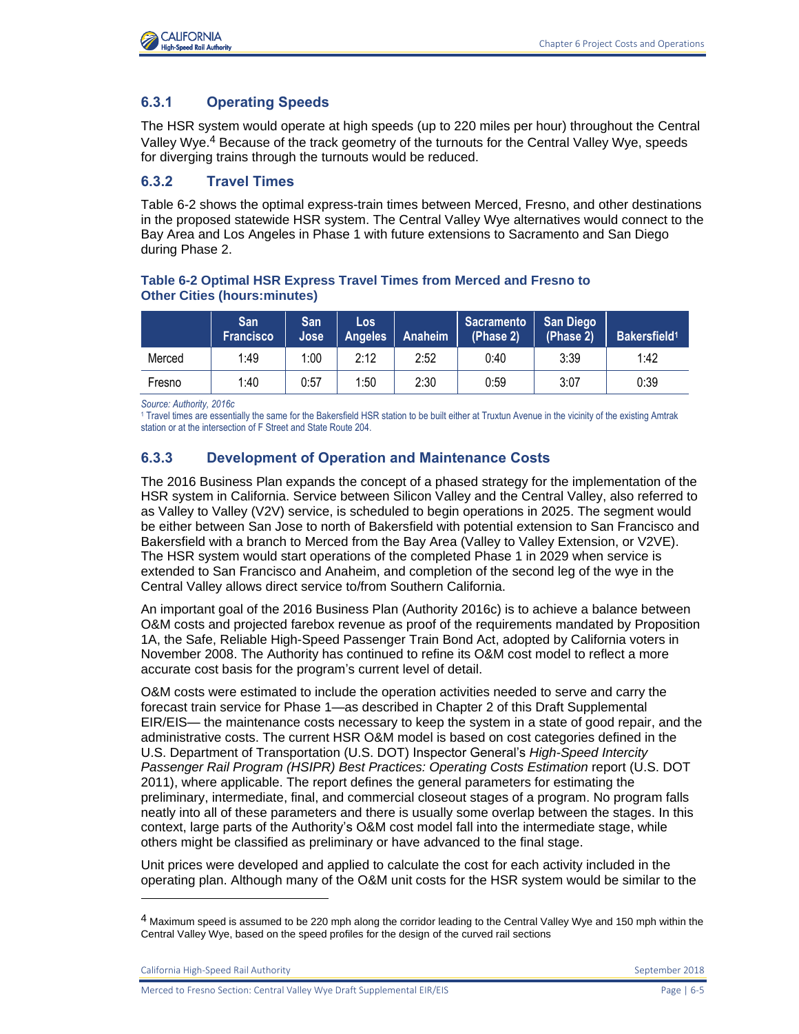

### **6.3.1 Operating Speeds**

The HSR system would operate at high speeds (up to 220 miles per hour) throughout the Central Valley Wye.<sup>4</sup> Because of the track geometry of the turnouts for the Central Valley Wye, speeds for diverging trains through the turnouts would be reduced.

#### **6.3.2 Travel Times**

[Table 6-2](#page-4-0) shows the optimal express-train times between Merced, Fresno, and other destinations in the proposed statewide HSR system. The Central Valley Wye alternatives would connect to the Bay Area and Los Angeles in Phase 1 with future extensions to Sacramento and San Diego during Phase 2.

#### <span id="page-4-0"></span>**Table 6-2 Optimal HSR Express Travel Times from Merced and Fresno to Other Cities (hours:minutes)**

|        | San<br><b>Francisco</b> | <b>San</b><br>Jose | Los<br><b>Angeles</b> | Anaheim | Sacramento<br>(Phase 2) | <b>San Diego</b><br>(Phase 2) | Bakersfield <sup>1</sup> |
|--------|-------------------------|--------------------|-----------------------|---------|-------------------------|-------------------------------|--------------------------|
| Merced | 1:49                    | 1:00               | 2:12                  | 2:52    | 0:40                    | 3:39                          | 1:42                     |
| Fresno | 1:40                    | 0:57               | 1:50                  | 2:30    | 0:59                    | 3:07                          | 0:39                     |

*Source: Authority, 2016c* 

1 Travel times are essentially the same for the Bakersfield HSR station to be built either at Truxtun Avenue in the vicinity of the existing Amtrak station or at the intersection of F Street and State Route 204.

#### **6.3.3 Development of Operation and Maintenance Costs**

The 2016 Business Plan expands the concept of a phased strategy for the implementation of the HSR system in California. Service between Silicon Valley and the Central Valley, also referred to as Valley to Valley (V2V) service, is scheduled to begin operations in 2025. The segment would be either between San Jose to north of Bakersfield with potential extension to San Francisco and Bakersfield with a branch to Merced from the Bay Area (Valley to Valley Extension, or V2VE). The HSR system would start operations of the completed Phase 1 in 2029 when service is extended to San Francisco and Anaheim, and completion of the second leg of the wye in the Central Valley allows direct service to/from Southern California.

An important goal of the 2016 Business Plan (Authority 2016c) is to achieve a balance between O&M costs and projected farebox revenue as proof of the requirements mandated by Proposition 1A, the Safe, Reliable High-Speed Passenger Train Bond Act, adopted by California voters in November 2008. The Authority has continued to refine its O&M cost model to reflect a more accurate cost basis for the program's current level of detail.

O&M costs were estimated to include the operation activities needed to serve and carry the forecast train service for Phase 1—as described in Chapter 2 of this Draft Supplemental EIR/EIS— the maintenance costs necessary to keep the system in a state of good repair, and the administrative costs. The current HSR O&M model is based on cost categories defined in the U.S. Department of Transportation (U.S. DOT) Inspector General's *High-Speed Intercity Passenger Rail Program (HSIPR) Best Practices: Operating Costs Estimation* report (U.S. DOT 2011), where applicable. The report defines the general parameters for estimating the preliminary, intermediate, final, and commercial closeout stages of a program. No program falls neatly into all of these parameters and there is usually some overlap between the stages. In this context, large parts of the Authority's O&M cost model fall into the intermediate stage, while others might be classified as preliminary or have advanced to the final stage.

Unit prices were developed and applied to calculate the cost for each activity included in the operating plan. Although many of the O&M unit costs for the HSR system would be similar to the

California High-Speed Rail Authority **September 2018** September 2018

 $4$  Maximum speed is assumed to be 220 mph along the corridor leading to the Central Valley Wye and 150 mph within the Central Valley Wye, based on the speed profiles for the design of the curved rail sections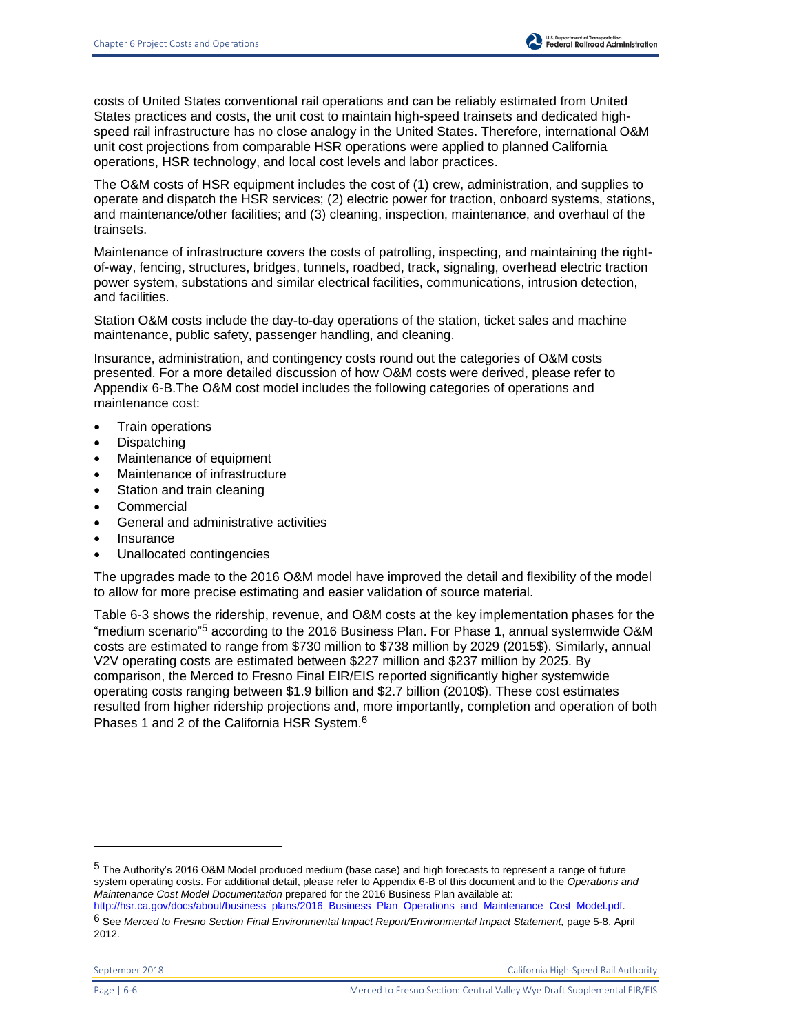costs of United States conventional rail operations and can be reliably estimated from United States practices and costs, the unit cost to maintain high-speed trainsets and dedicated highspeed rail infrastructure has no close analogy in the United States. Therefore, international O&M unit cost projections from comparable HSR operations were applied to planned California operations, HSR technology, and local cost levels and labor practices.

The O&M costs of HSR equipment includes the cost of (1) crew, administration, and supplies to operate and dispatch the HSR services; (2) electric power for traction, onboard systems, stations, and maintenance/other facilities; and (3) cleaning, inspection, maintenance, and overhaul of the trainsets.

Maintenance of infrastructure covers the costs of patrolling, inspecting, and maintaining the rightof-way, fencing, structures, bridges, tunnels, roadbed, track, signaling, overhead electric traction power system, substations and similar electrical facilities, communications, intrusion detection, and facilities.

Station O&M costs include the day-to-day operations of the station, ticket sales and machine maintenance, public safety, passenger handling, and cleaning.

Insurance, administration, and contingency costs round out the categories of O&M costs presented. For a more detailed discussion of how O&M costs were derived, please refer to Appendix 6-B.The O&M cost model includes the following categories of operations and maintenance cost:

- Train operations
- Dispatching
- Maintenance of equipment
- Maintenance of infrastructure
- Station and train cleaning
- Commercial
- General and administrative activities
- Insurance
- Unallocated contingencies

The upgrades made to the 2016 O&M model have improved the detail and flexibility of the model to allow for more precise estimating and easier validation of source material.

[Table 6-3](#page-6-0) shows the ridership, revenue, and O&M costs at the key implementation phases for the "medium scenario"<sup>5</sup> according to the 2016 Business Plan. For Phase 1, annual systemwide O&M costs are estimated to range from \$730 million to \$738 million by 2029 (2015\$). Similarly, annual V2V operating costs are estimated between \$227 million and \$237 million by 2025. By comparison, the Merced to Fresno Final EIR/EIS reported significantly higher systemwide operating costs ranging between \$1.9 billion and \$2.7 billion (2010\$). These cost estimates resulted from higher ridership projections and, more importantly, completion and operation of both Phases 1 and 2 of the California HSR System.6

<sup>5</sup> The Authority's 2016 O&M Model produced medium (base case) and high forecasts to represent a range of future system operating costs. For additional detail, please refer to Appendix 6-B of this document and to the *Operations and Maintenance Cost Model Documentation* prepared for the 2016 Business Plan available at: [http://hsr.ca.gov/docs/about/business\\_plans/2016\\_Business\\_Plan\\_Operations\\_and\\_Maintenance\\_Cost\\_Model.pdf.](http://hsr.ca.gov/docs/about/business_plans/2016_Business_Plan_Operations_and_Maintenance_Cost_Model.pdf)

<sup>6</sup> See *Merced to Fresno Section Final Environmental Impact Report/Environmental Impact Statement,* page 5-8, April 2012.